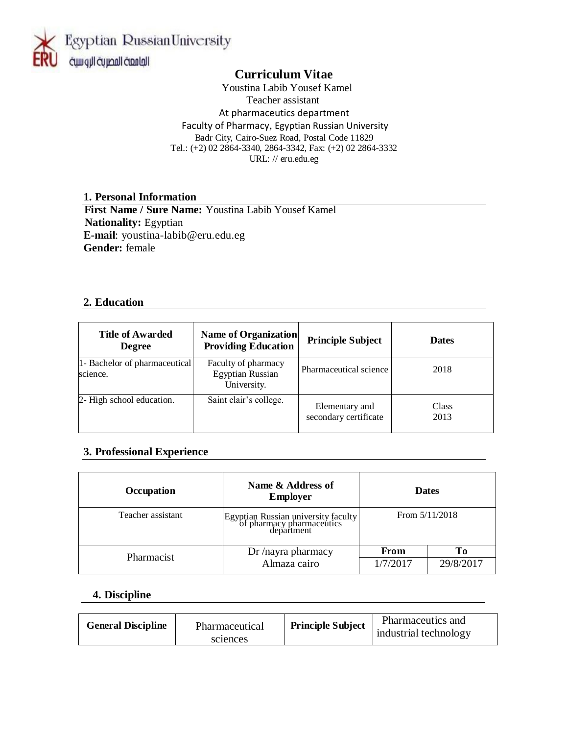

# **Curriculum Vitae**

 Youstina Labib Yousef Kamel Teacher assistant At pharmaceutics department Faculty of Pharmacy, Egyptian Russian University Badr City, Cairo-Suez Road, Postal Code 11829 Tel.: (+2) 02 2864-3340, 2864-3342, Fax: (+2) 02 2864-3332 URL: // eru.edu.eg

#### **1. Personal Information**

 **First Name / Sure Name:** Youstina Labib Yousef Kamel  **Nationality:** Egyptian **E-mail**: youstina-labib@eru.edu.eg **Gender:** female

### **2. Education**

| <b>Title of Awarded</b><br><b>Degree</b>  | <b>Name of Organization</b><br><b>Providing Education</b>     | <b>Principle Subject</b>                | <b>Dates</b>  |
|-------------------------------------------|---------------------------------------------------------------|-----------------------------------------|---------------|
| 1- Bachelor of pharmaceutical<br>science. | Faculty of pharmacy<br><b>Egyptian Russian</b><br>University. | Pharmaceutical science                  | 2018          |
| 2- High school education.                 | Saint clair's college.                                        | Elementary and<br>secondary certificate | Class<br>2013 |

## **3. Professional Experience**

| Occupation        | Name & Address of<br><b>Employer</b>                                           |                  | <b>Dates</b>     |
|-------------------|--------------------------------------------------------------------------------|------------------|------------------|
| Teacher assistant | Egyptian Russian university faculty<br>of pharmacy pharmaceutics<br>department |                  | From $5/11/2018$ |
| Pharmacist        | Dr /nayra pharmacy<br>Almaza cairo                                             | From<br>1/7/2017 | To<br>29/8/2017  |

### **4. Discipline**

| <b>General Discipline</b><br>Pharmaceutical<br>sciences | <b>Principle Subject</b> | Pharmaceutics and<br>industrial technology |
|---------------------------------------------------------|--------------------------|--------------------------------------------|
|---------------------------------------------------------|--------------------------|--------------------------------------------|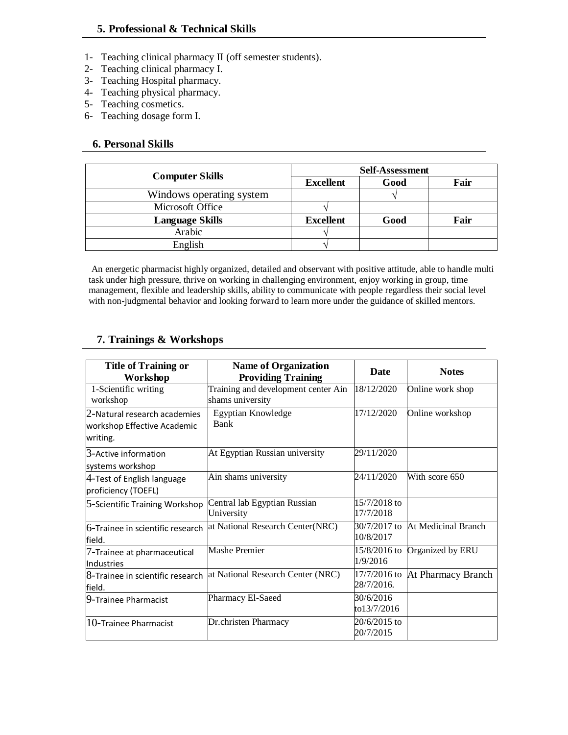- 1- Teaching clinical pharmacy II (off semester students).
- 2- Teaching clinical pharmacy I.
- 3- Teaching Hospital pharmacy.
- 4- Teaching physical pharmacy.
- 5- Teaching cosmetics.
- 6- Teaching dosage form I.

#### **6. Personal Skills**

|                          |                  | <b>Self-Assessment</b> |      |
|--------------------------|------------------|------------------------|------|
| <b>Computer Skills</b>   | <b>Excellent</b> | Good                   | Fair |
| Windows operating system |                  |                        |      |
| Microsoft Office         |                  |                        |      |
| <b>Language Skills</b>   | <b>Excellent</b> | Good                   | Fair |
| Arabic                   |                  |                        |      |
| English                  |                  |                        |      |

An energetic pharmacist highly organized, detailed and observant with positive attitude, able to handle multi task under high pressure, thrive on working in challenging environment, enjoy working in group, time management, flexible and leadership skills, ability to communicate with people regardless their social level with non-judgmental behavior and looking forward to learn more under the guidance of skilled mentors.

### **7. Trainings & Workshops**

| <b>Title of Training or</b><br>Workshop                                 | <b>Name of Organization</b><br><b>Providing Training</b> | <b>Date</b>                  | <b>Notes</b>        |
|-------------------------------------------------------------------------|----------------------------------------------------------|------------------------------|---------------------|
| 1-Scientific writing<br>workshop                                        | Training and development center Ain<br>shams university  | 18/12/2020                   | Online work shop    |
| 2-Natural research academies<br>workshop Effective Academic<br>writing. | Egyptian Knowledge<br>Bank                               | 17/12/2020                   | Online workshop     |
| 3-Active information<br>systems workshop                                | At Egyptian Russian university                           | 29/11/2020                   |                     |
| $4$ -Test of English language<br>proficiency (TOEFL)                    | Ain shams university                                     | 24/11/2020                   | With score 650      |
| 5-Scientific Training Workshop                                          | Central lab Egyptian Russian<br>University               | $15/7/2018$ to<br>17/7/2018  |                     |
| 6-Trainee in scientific research<br>field.                              | at National Research Center(NRC)                         | 30/7/2017 to<br>10/8/2017    | At Medicinal Branch |
| 7-Trainee at pharmaceutical<br>Industries                               | <b>Mashe Premier</b>                                     | 15/8/2016 to<br>1/9/2016     | Organized by ERU    |
| 8-Trainee in scientific research<br>field.                              | at National Research Center (NRC)                        | $17/7/2016$ to<br>28/7/2016. | At Pharmacy Branch  |
| 9-Trainee Pharmacist                                                    | Pharmacy El-Saeed                                        | 30/6/2016<br>to13/7/2016     |                     |
| $10$ -Trainee Pharmacist                                                | Dr.christen Pharmacy                                     | 20/6/2015 to<br>20/7/2015    |                     |